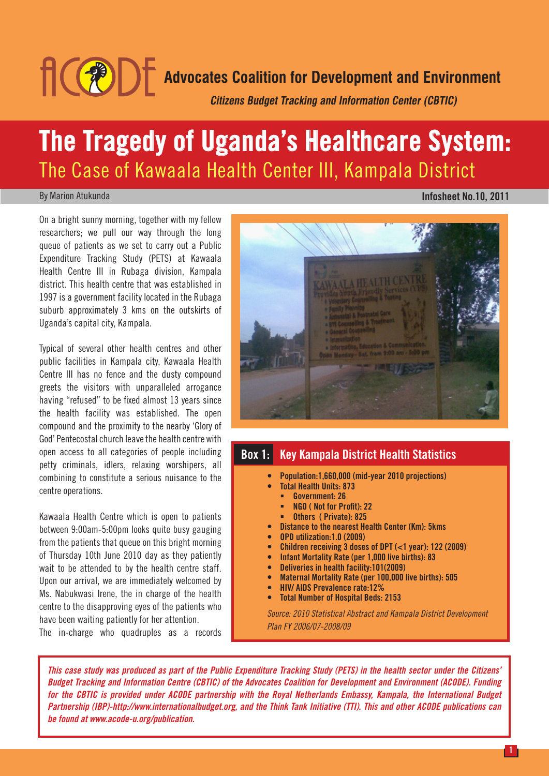

# **The Tragedy of Uganda's Healthcare System:** The Case of Kawaala Health Center III, Kampala District

#### By Marion Atukunda

#### **Infosheet No.10, 2011**

On a bright sunny morning, together with my fellow researchers; we pull our way through the long queue of patients as we set to carry out a Public Expenditure Tracking Study (PETS) at Kawaala Health Centre III in Rubaga division, Kampala district. This health centre that was established in 1997 is a government facility located in the Rubaga suburb approximately 3 kms on the outskirts of Uganda's capital city, Kampala.

Typical of several other health centres and other public facilities in Kampala city, Kawaala Health Centre III has no fence and the dusty compound greets the visitors with unparalleled arrogance having "refused" to be fixed almost 13 years since the health facility was established. The open compound and the proximity to the nearby 'Glory of God' Pentecostal church leave the health centre with open access to all categories of people including petty criminals, idlers, relaxing worshipers, all combining to constitute a serious nuisance to the centre operations.

Kawaala Health Centre which is open to patients between 9:00am-5:00pm looks quite busy gauging from the patients that queue on this bright morning of Thursday 10th June 2010 day as they patiently wait to be attended to by the health centre staff. Upon our arrival, we are immediately welcomed by Ms. Nabukwasi Irene, the in charge of the health centre to the disapproving eyes of the patients who have been waiting patiently for her attention.

The in-charge who quadruples as a records



### **Box 1: Key Kampala District Health Statistics**

- **Population:1,660,000 (mid-year 2010 projections)**
	- **Total Health Units: 873**
	- **Government: 26**
	- **NGO ( Not for Profit): 22**
	- **Others ( Private): 825**
- **Distance to the nearest Health Center (Km): 5kms**
- **OPD utilization:1.0 (2009)**
- **Children receiving 3 doses of DPT (<1 year): 122 (2009)**
- **Infant Mortality Rate (per 1,000 live births): 83**
- **Deliveries in health facility:101(2009)**
- **Maternal Mortality Rate (per 100,000 live births): 505**
- **HIV/ AIDS Prevalence rate:12%**
- **Total Number of Hospital Beds: 2153**

*Source: 2010 Statistical Abstract and Kampala District Development Plan FY 2006/07-2008/09*

*This case study was produced as part of the Public Expenditure Tracking Study (PETS) in the health sector under the Citizens' Budget Tracking and Information Centre (CBTIC) of the Advocates Coalition for Development and Environment (ACODE). Funding for the CBTIC is provided under ACODE partnership with the Royal Netherlands Embassy, Kampala, the International Budget Partnership (IBP)-http://www.internationalbudget.org, and the Think Tank Initiative (TTI). This and other ACODE publications can be found at www.acode-u.org/publication.*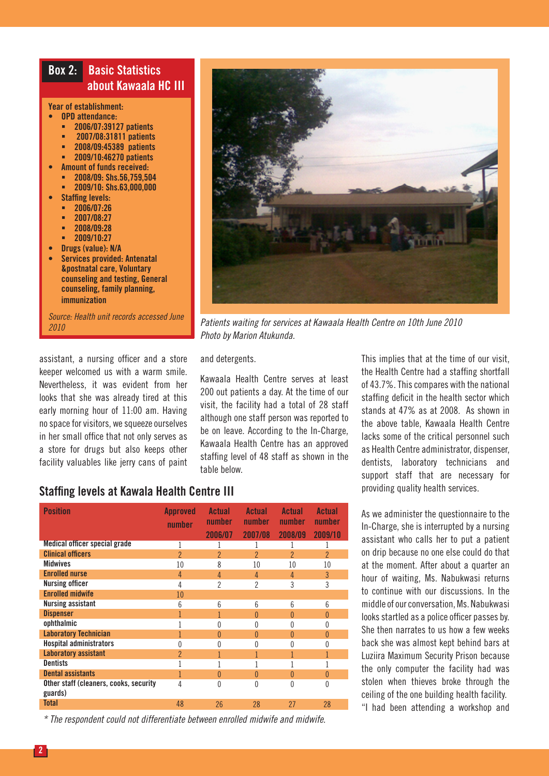## **Box 2: Basic Statistics about Kawaala HC III**

#### **Year of establishment:**

- **• OPD attendance:**
	- **2006/07:39127 patients**
	- **2007/08:31811 patients**
	- **2008/09:45389 patients**
	- **2009/10:46270 patients**
- **• Amount of funds received:**
	- **2008/09: Shs.56,759,504**
- **2009/10: Shs.63,000,000**
- **Staffing levels:** 
	- **2006/07:26**
	- **2007/08:27**
	- **2008/09:28**
- **2009/10:27**
- **• Drugs (value): N/A**
- **• Services provided: Antenatal &postnatal care, Voluntary counseling and testing, General counseling, family planning, immunization**

*Source: Health unit records accessed June 2010*

assistant, a nursing officer and a store keeper welcomed us with a warm smile. Nevertheless, it was evident from her looks that she was already tired at this early morning hour of 11:00 am. Having no space for visitors, we squeeze ourselves in her small office that not only serves as a store for drugs but also keeps other facility valuables like jerry cans of paint



*Patients waiting for services at Kawaala Health Centre on 10th June 2010 Photo by Marion Atukunda.* 

and detergents.

Kawaala Health Centre serves at least 200 out patients a day. At the time of our visit, the facility had a total of 28 staff although one staff person was reported to be on leave. According to the In-Charge, Kawaala Health Centre has an approved staffing level of 48 staff as shown in the table below.

This implies that at the time of our visit, the Health Centre had a staffing shortfall of 43.7%. This compares with the national staffing deficit in the health sector which stands at 47% as at 2008. As shown in the above table, Kawaala Health Centre lacks some of the critical personnel such as Health Centre administrator, dispenser, dentists, laboratory technicians and support staff that are necessary for providing quality health services.

As we administer the questionnaire to the In-Charge, she is interrupted by a nursing assistant who calls her to put a patient on drip because no one else could do that at the moment. After about a quarter an hour of waiting, Ms. Nabukwasi returns to continue with our discussions. In the middle of our conversation, Ms. Nabukwasi looks startled as a police officer passes by. She then narrates to us how a few weeks back she was almost kept behind bars at Luziira Maximum Security Prison because the only computer the facility had was stolen when thieves broke through the ceiling of the one building health facility. "I had been attending a workshop and

### **Staffing levels at Kawala Health Centre III**

| <b>Position</b>                                   | <b>Approved</b><br>number | Actual<br>number<br>2006/07 | Actual<br><b>number</b><br>2007/08 | <b>Actual</b><br><b>number</b><br>2008/09 | Actual<br>number<br>2009/10 |
|---------------------------------------------------|---------------------------|-----------------------------|------------------------------------|-------------------------------------------|-----------------------------|
| Medical officer special grade                     |                           |                             |                                    |                                           |                             |
| <b>Clinical officers</b>                          | $\overline{\phantom{a}}$  | $\overline{2}$              | $\overline{2}$                     | $\overline{\phantom{a}}$                  | $\mathcal{P}$               |
| <b>Midwives</b>                                   | 10                        | 8                           | 10                                 | 10                                        | 10                          |
| <b>Enrolled nurse</b>                             | 4                         | 4                           | 4                                  | 4                                         | 3                           |
| Nursing officer                                   | 4                         | $\overline{2}$              | $\overline{2}$                     | 3                                         | 3                           |
| <b>Enrolled midwife</b>                           | 10                        |                             |                                    |                                           |                             |
| <b>Nursing assistant</b>                          | 6                         | 6                           | 6                                  | 6                                         | 6                           |
| <b>Dispenser</b>                                  |                           |                             | $\Omega$                           | $\mathcal{O}$                             | 0                           |
| ophthalmic                                        |                           | Ŋ                           | 0                                  | U                                         | 0                           |
| <b>Laboratory Technician</b>                      |                           | $\Omega$                    | $\theta$                           | 0                                         | 0                           |
| <b>Hospital administrators</b>                    | 0                         | 0                           | 0                                  |                                           | N                           |
| <b>Laboratory assistant</b>                       | $\overline{2}$            |                             | 1                                  |                                           | 1                           |
| <b>Dentists</b>                                   |                           |                             |                                    |                                           |                             |
| <b>Dental assistants</b>                          |                           | $\Omega$                    | $\Omega$                           | 0                                         | 0                           |
| Other staff (cleaners, cooks, security<br>guards) | 4                         | $\Omega$                    | 0                                  | 0                                         | 0                           |
| <b>Total</b>                                      | 48                        | 26                          | 28                                 | 27                                        | 28                          |

*\* The respondent could not differentiate between enrolled midwife and midwife.*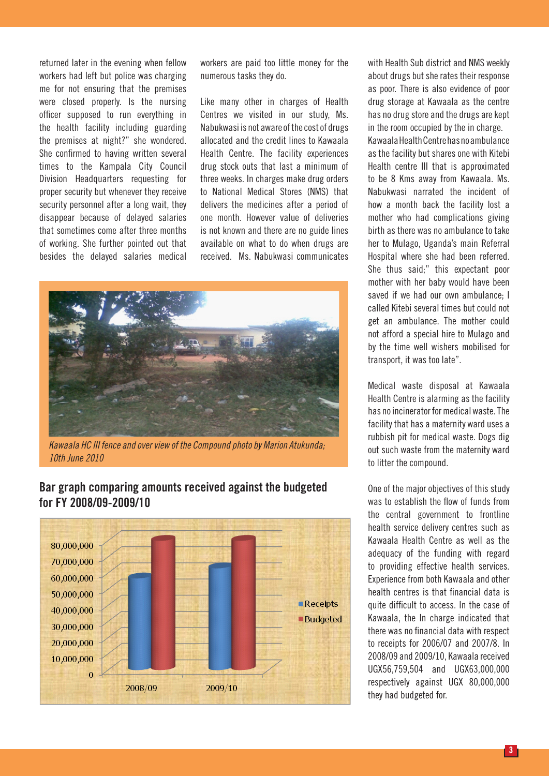returned later in the evening when fellow workers had left but police was charging me for not ensuring that the premises were closed properly. Is the nursing officer supposed to run everything in the health facility including guarding the premises at night?" she wondered. She confirmed to having written several times to the Kampala City Council Division Headquarters requesting for proper security but whenever they receive security personnel after a long wait, they disappear because of delayed salaries that sometimes come after three months of working. She further pointed out that besides the delayed salaries medical workers are paid too little money for the numerous tasks they do.

Like many other in charges of Health Centres we visited in our study, Ms. Nabukwasi is not aware of the cost of drugs allocated and the credit lines to Kawaala Health Centre. The facility experiences drug stock outs that last a minimum of three weeks. In charges make drug orders to National Medical Stores (NMS) that delivers the medicines after a period of one month. However value of deliveries is not known and there are no guide lines available on what to do when drugs are received. Ms. Nabukwasi communicates



*Kawaala HC III fence and over view of the Compound photo by Marion Atukunda; 10th June 2010*

## **Bar graph comparing amounts received against the budgeted for FY 2008/09-2009/10**



with Health Sub district and NMS weekly about drugs but she rates their response as poor. There is also evidence of poor drug storage at Kawaala as the centre has no drug store and the drugs are kept in the room occupied by the in charge. Kawaala Health Centre has no ambulance as the facility but shares one with Kitebi Health centre III that is approximated to be 8 Kms away from Kawaala. Ms. Nabukwasi narrated the incident of how a month back the facility lost a mother who had complications giving birth as there was no ambulance to take her to Mulago, Uganda's main Referral Hospital where she had been referred. She thus said;" this expectant poor mother with her baby would have been saved if we had our own ambulance; I called Kitebi several times but could not get an ambulance. The mother could not afford a special hire to Mulago and by the time well wishers mobilised for transport, it was too late".

Medical waste disposal at Kawaala Health Centre is alarming as the facility has no incinerator for medical waste. The facility that has a maternity ward uses a rubbish pit for medical waste. Dogs dig out such waste from the maternity ward to litter the compound.

One of the major objectives of this study was to establish the flow of funds from the central government to frontline health service delivery centres such as Kawaala Health Centre as well as the adequacy of the funding with regard to providing effective health services. Experience from both Kawaala and other health centres is that financial data is quite difficult to access. In the case of Kawaala, the In charge indicated that there was no financial data with respect to receipts for 2006/07 and 2007/8. In 2008/09 and 2009/10, Kawaala received UGX56,759,504 and UGX63,000,000 respectively against UGX 80,000,000 they had budgeted for.